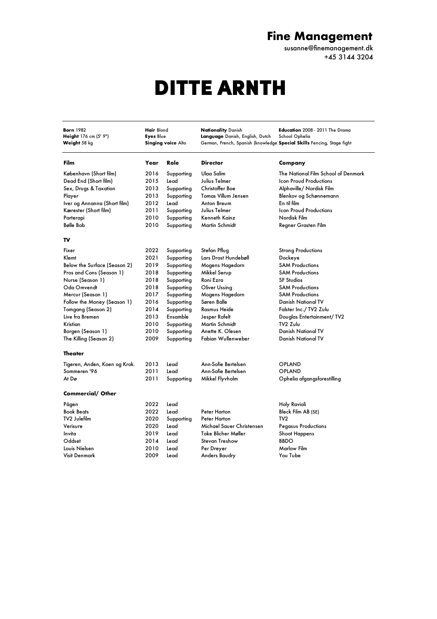## **Fine Management**

susanne@finemanagement.dk +45 3144 3204

## DITTE ARNTH

**Born** 1982 **Hair** Blond **Nationality** Danish **Education** 2008 - 2011 The Drama **Height** 176 cm (5' 9") **Eyes** Blue **Language** Danish, English, Dutch School Ophelia<br> **Weight** 58 kg **Singing voice** Alto German, French, Spanish (knowled German, French, Spanish (knowledge **Special Skills** Fencing, Stage fight **Film Year Role Director Company** København (Short film) 2016 Supporting Ulaa Salim The National Film School of Denmark Dead End (Short film) 2015 Lead Julius Telmer Icon Proud Productions Sex, Drugs & Taxation 2013 Supporting Christoffer Boe Alphaville/ Nordisk Film Player 2013 Supporting Tomas Villum Jensen Blenkov og Schønnemann Iver og Annanna (Short film) 2012 Lead Anton Breum En til film Kærester (Short film) 2011 Supporting Julius Telmer Icon Proud Productions Parterapi 1988 - 2010 Supporting Kenneth Kainz 1988 - Nordisk Film Bølle Bob 2010 Supporting Martin Schmidt Regner Grasten Film **TV** Fixer 2022 Supporting Stefan Pflug Strong Productions Klemt 2021 Supporting Lars Drost Hundebøll Dockeye Below the Surface (Season 2) 2019 Supporting Mogens Hagedorn SAM Productions<br>Pros and Cons (Season 1) 2018 Supporting Mikkel Serup SAM Productions Pros and Cons (Season 1) 2018 Supporting Mikkel Serup Nurse (Season 1) 2018 Supporting Roni Ezra SF Studios Oda Omvendt 2018 Supporting Oliver Ussing SAM Productions Mercur (Season 1) 2017 Supporting Mogens Hagedorn SAM Productions Follow the Money (Season 1) Tomgang (Season 2) 2014 Supporting Rasmus Heide Falster Inc./ TV2 Zulu Live fra Bremen 2013 Ensamble Jesper Rofelt Douglas Entertainment/ TV2 Kristian 2010 Supporting Martin Schmidt TV2 Zulu Borgen (Season 1) 2010 Supporting Anette K. Olesen Danish National TV The Killing (Season 2) 2009 Supporting Fabian Wullenweber Danish National TV **Theater** Tigeren, Anden, Koen og Krok. 2013 Lead Ann-Sofie Bertelsen OPLAND Sommeren '96 2011 Lead Ann-Sofie Bertelsen OPLAND At Dø 2011 Supporting Mikkel Flyvholm Ophelia afgangsforestilling **Commercial/ Other** Pågen 2022 Lead Holy Ravioli Book Beats 2022 Lead Peter Harton Bleck Film AB (SE) TV2 Julefilm 2020 Supporting Peter Harton TV2 Verisure 2020 Lead Michael Sauer Christensen Pegasus Productions Invita 2019 Lead Toke Blicher Møller Shoot Happens Oddset 2014 Lead Stevan Treshow Louis Nielsen 2010 Lead Per Dreyer Marlow Film Visit Denmark 2009 Lead Anders Baudry You Tube